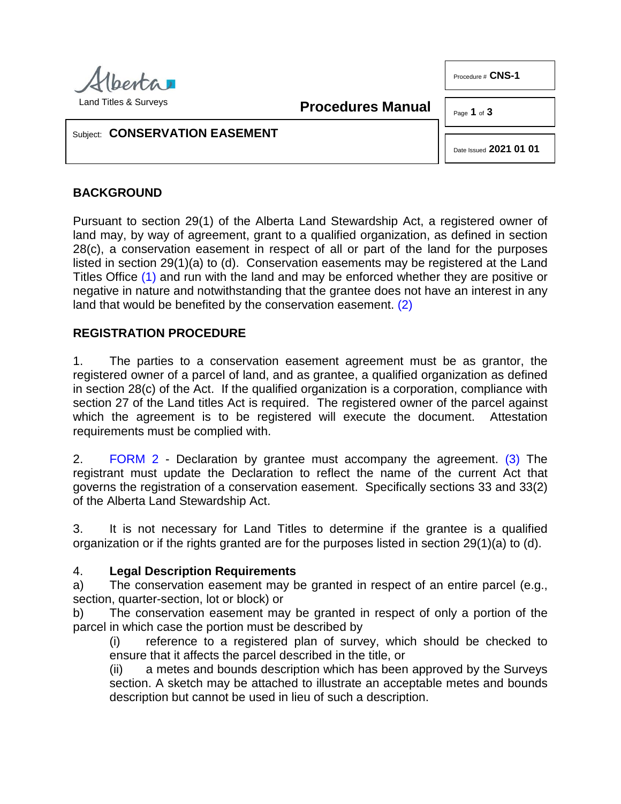

Procedure # CNS-1

**Procedures Manual**

Page **1** of **3** 

### Subject: **CONSERVATION EASEMENT**

<span id="page-0-1"></span>Date Issued **2021 01 01**

## **BACKGROUND**

Pursuant to section 29(1) of the Alberta Land Stewardship Act, a registered owner of land may, by way of agreement, grant to a qualified organization, as defined in section 28(c), a conservation easement in respect of all or part of the land for the purposes listed in section 29(1)(a) to (d). Conservation easements may be registered at the Land Titles Office [\(1\)](#page-2-0) and run with the land and may be enforced whether they are positive or negative in nature and notwithstanding that the grantee does not have an interest in any land that would be benefited by the conservation easement. [\(2\)](#page-2-1)

### <span id="page-0-0"></span>**REGISTRATION PROCEDURE**

1. The parties to a conservation easement agreement must be as grantor, the registered owner of a parcel of land, and as grantee, a qualified organization as defined in section 28(c) of the Act. If the qualified organization is a corporation, compliance with section 27 of the Land titles Act is required. The registered owner of the parcel against which the agreement is to be registered will execute the document. Attestation requirements must be complied with.

2. [FORM 2](http://www.servicealberta.ca/pdf/ltmanual/CNS-1-FORM2.pdf) - Declaration by grantee must accompany the agreement. [\(3\)](#page-2-2) The registrant must update the Declaration to reflect the name of the current Act that governs the registration of a conservation easement. Specifically sections 33 and 33(2) of the Alberta Land Stewardship Act.

3. It is not necessary for Land Titles to determine if the grantee is a qualified organization or if the rights granted are for the purposes listed in section 29(1)(a) to (d).

#### 4. **Legal Description Requirements**

a) The conservation easement may be granted in respect of an entire parcel (e.g., section, quarter-section, lot or block) or

b) The conservation easement may be granted in respect of only a portion of the parcel in which case the portion must be described by

(i) reference to a registered plan of survey, which should be checked to ensure that it affects the parcel described in the title, or

(ii) a metes and bounds description which has been approved by the Surveys section. A sketch may be attached to illustrate an acceptable metes and bounds description but cannot be used in lieu of such a description.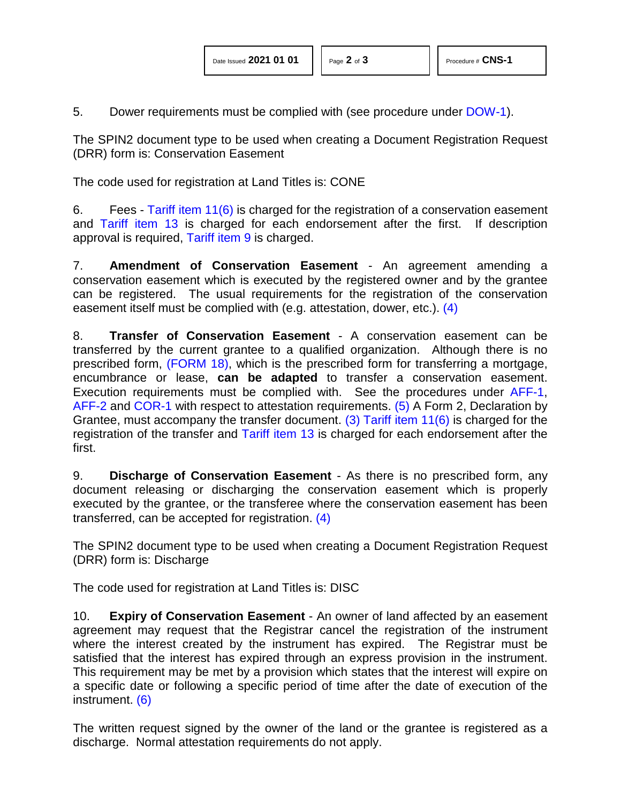5. Dower requirements must be complied with (see procedure under [DOW-1\)](http://www.servicealberta.ca/pdf/ltmanual/DOW-1.pdf).

The SPIN2 document type to be used when creating a Document Registration Request (DRR) form is: Conservation Easement

The code used for registration at Land Titles is: CONE

6. Fees - [Tariff item 11\(6\)](http://www.servicealberta.ca/pdf/ltmanual/APPENDIXI.pdf) is charged for the registration of a conservation easement and [Tariff item 13](http://www.servicealberta.ca/pdf/ltmanual/APPENDIXI.pdf) is charged for each endorsement after the first. If description approval is required, [Tariff item 9](http://www.servicealberta.ca/pdf/ltmanual/APPENDIXI.pdf) is charged.

7. **Amendment of Conservation Easement** - An agreement amending a conservation easement which is executed by the registered owner and by the grantee can be registered. The usual requirements for the registration of the conservation easement itself must be complied with (e.g. attestation, dower, etc.). [\(4\)](#page-2-3)

<span id="page-1-2"></span><span id="page-1-1"></span>8. **Transfer of Conservation Easement** - A conservation easement can be transferred by the current grantee to a qualified organization. Although there is no prescribed form, [\(FORM 18\),](http://www.servicealberta.ca/pdf/ltmanual/FORM18.pdf) which is the prescribed form for transferring a mortgage, encumbrance or lease, **can be adapted** to transfer a conservation easement. Execution requirements must be complied with. See the procedures under [AFF-1,](http://www.servicealberta.ca/pdf/ltmanual/AFF-1.pdf) [AFF-2](http://www.servicealberta.ca/pdf/ltmanual/AFF-2.pdf) and [COR-1](http://www.servicealberta.ca/pdf/ltmanual/COR-1.pdf) with respect to attestation requirements. [\(5\)](#page-2-4) A Form 2, Declaration by Grantee, must accompany the transfer document. [\(3\)](#page-2-2) [Tariff item 11\(6\)](http://www.servicealberta.ca/pdf/ltmanual/APPENDIXI.pdf) is charged for the registration of the transfer and [Tariff item 13](http://www.servicealberta.ca/pdf/ltmanual/APPENDIXI.pdf) is charged for each endorsement after the first.

<span id="page-1-0"></span>9. **Discharge of Conservation Easement** - As there is no prescribed form, any document releasing or discharging the conservation easement which is properly executed by the grantee, or the transferee where the conservation easement has been transferred, can be accepted for registration. [\(4\)](#page-2-3)

The SPIN2 document type to be used when creating a Document Registration Request (DRR) form is: Discharge

The code used for registration at Land Titles is: DISC

10. **Expiry of Conservation Easement** - An owner of land affected by an easement agreement may request that the Registrar cancel the registration of the instrument where the interest created by the instrument has expired. The Registrar must be satisfied that the interest has expired through an express provision in the instrument. This requirement may be met by a provision which states that the interest will expire on a specific date or following a specific period of time after the date of execution of the instrument. [\(6\)](#page-2-5)

<span id="page-1-3"></span>The written request signed by the owner of the land or the grantee is registered as a discharge. Normal attestation requirements do not apply.